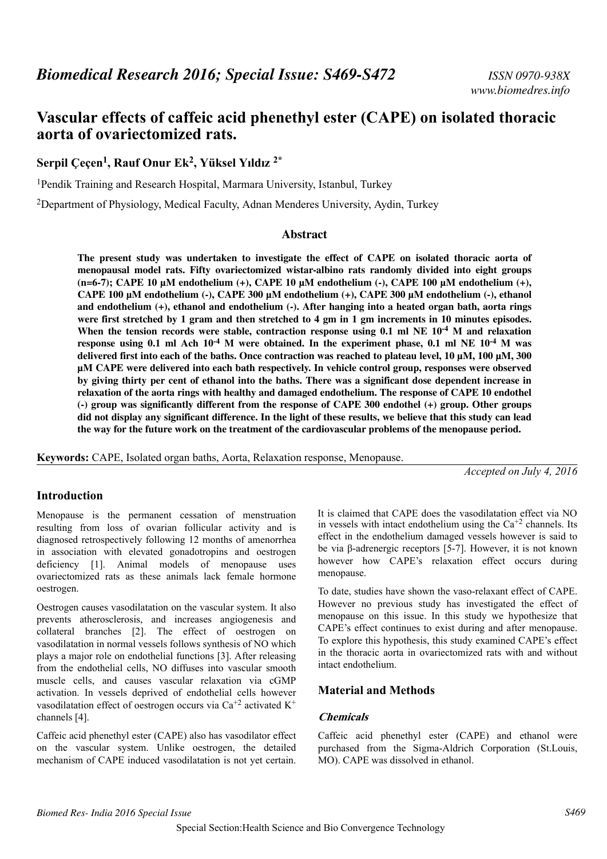# **Vascular effects of caffeic acid phenethyl ester (CAPE) on isolated thoracic aorta of ovariectomized rats.**

**Serpil Çeçen<sup>1</sup> , Rauf Onur Ek<sup>2</sup> , Yüksel Yıldız 2\***

<sup>1</sup>Pendik Training and Research Hospital, Marmara University, Istanbul, Turkey

<sup>2</sup>Department of Physiology, Medical Faculty, Adnan Menderes University, Aydin, Turkey

### **Abstract**

**The present study was undertaken to investigate the effect of CAPE on isolated thoracic aorta of menopausal model rats. Fifty ovariectomized wistar-albino rats randomly divided into eight groups (n=6-7); CAPE 10 µM endothelium (+), CAPE 10 µM endothelium (-), CAPE 100 µM endothelium (+), CAPE 100 µM endothelium (-), CAPE 300 µM endothelium (+), CAPE 300 µM endothelium (-), ethanol and endothelium (+), ethanol and endothelium (-). After hanging into a heated organ bath, aorta rings were first stretched by 1 gram and then stretched to 4 gm in 1 gm increments in 10 minutes episodes. When the tension records were stable, contraction response using 0.1 ml NE 10-4 M and relaxation response using 0.1 ml Ach 10-4 M were obtained. In the experiment phase, 0.1 ml NE 10-4 M was delivered first into each of the baths. Once contraction was reached to plateau level, 10 µM, 100 µM, 300 µM CAPE were delivered into each bath respectively. In vehicle control group, responses were observed by giving thirty per cent of ethanol into the baths. There was a significant dose dependent increase in relaxation of the aorta rings with healthy and damaged endothelium. The response of CAPE 10 endothel (-) group was significantly different from the response of CAPE 300 endothel (+) group. Other groups did not display any significant difference. In the light of these results, we believe that this study can lead the way for the future work on the treatment of the cardiovascular problems of the menopause period.**

**Keywords:** CAPE, Isolated organ baths, Aorta, Relaxation response, Menopause.

*Accepted on July 4, 2016*

# **Introduction**

Menopause is the permanent cessation of menstruation resulting from loss of ovarian follicular activity and is diagnosed retrospectively following 12 months of amenorrhea in association with elevated gonadotropins and oestrogen deficiency [1]. Animal models of menopause uses ovariectomized rats as these animals lack female hormone oestrogen.

Oestrogen causes vasodilatation on the vascular system. It also prevents atherosclerosis, and increases angiogenesis and collateral branches [2]. The effect of oestrogen on vasodilatation in normal vessels follows synthesis of NO which plays a major role on endothelial functions [3]. After releasing from the endothelial cells, NO diffuses into vascular smooth muscle cells, and causes vascular relaxation via cGMP activation. In vessels deprived of endothelial cells however vasodilatation effect of oestrogen occurs via  $Ca^{+2}$  activated  $K^+$ channels [4].

Caffeic acid phenethyl ester (CAPE) also has vasodilator effect on the vascular system. Unlike oestrogen, the detailed mechanism of CAPE induced vasodilatation is not yet certain.

It is claimed that CAPE does the vasodilatation effect via NO in vessels with intact endothelium using the  $Ca^{+2}$  channels. Its effect in the endothelium damaged vessels however is said to be via β-adrenergic receptors [5-7]. However, it is not known however how CAPE's relaxation effect occurs during menopause.

To date, studies have shown the vaso-relaxant effect of CAPE. However no previous study has investigated the effect of menopause on this issue. In this study we hypothesize that CAPE's effect continues to exist during and after menopause. To explore this hypothesis, this study examined CAPE's effect in the thoracic aorta in ovariectomized rats with and without intact endothelium.

# **Material and Methods**

# **Chemicals**

Caffeic acid phenethyl ester (CAPE) and ethanol were purchased from the Sigma-Aldrich Corporation (St.Louis, MO). CAPE was dissolved in ethanol.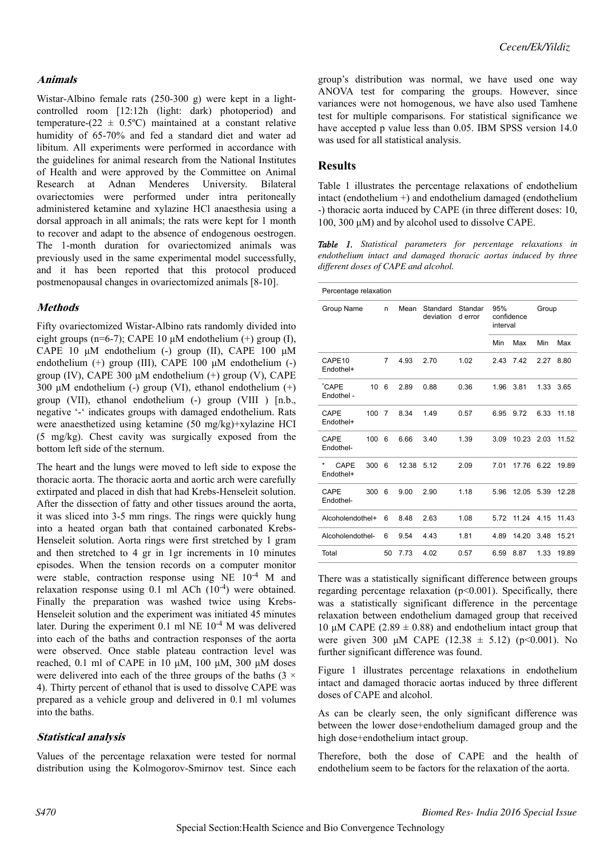### *Cecen/Ek/Yildiz*

#### **Animals**

Wistar-Albino female rats (250-300 g) were kept in a lightcontrolled room [12:12h (light: dark) photoperiod) and temperature- $(22 \pm 0.5^{\circ}\text{C})$  maintained at a constant relative humidity of 65-70% and fed a standard diet and water ad libitum. All experiments were performed in accordance with the guidelines for animal research from the National Institutes of Health and were approved by the Committee on Animal Research at Adnan Menderes University. Bilateral ovariectomies were performed under intra peritoneally administered ketamine and xylazine HCl anaesthesia using a dorsal approach in all animals; the rats were kept for 1 month to recover and adapt to the absence of endogenous oestrogen. The 1-month duration for ovariectomized animals was previously used in the same experimental model successfully, and it has been reported that this protocol produced postmenopausal changes in ovariectomized animals [8-10].

### **Methods**

Fifty ovariectomized Wistar-Albino rats randomly divided into eight groups (n=6-7); CAPE 10 μM endothelium  $(+)$  group (I), CAPE 10 μM endothelium (-) group (II), CAPE 100 μM endothelium (+) group (III), CAPE 100 μM endothelium (-) group (IV), CAPE 300 μM endothelium (+) group (V), CAPE 300 μM endothelium (-) group (VI), ethanol endothelium  $(+)$ group (VII), ethanol endothelium (-) group (VIII ) [n.b., negative '-' indicates groups with damaged endothelium. Rats were anaesthetized using ketamine (50 mg/kg)+xylazine HCI (5 mg/kg). Chest cavity was surgically exposed from the bottom left side of the sternum.

The heart and the lungs were moved to left side to expose the thoracic aorta. The thoracic aorta and aortic arch were carefully extirpated and placed in dish that had Krebs-Henseleit solution. After the dissection of fatty and other tissues around the aorta, it was sliced into 3-5 mm rings. The rings were quickly hung into a heated organ bath that contained carbonated Krebs-Henseleit solution. Aorta rings were first stretched by 1 gram and then stretched to 4 gr in 1gr increments in 10 minutes episodes. When the tension records on a computer monitor were stable, contraction response using NE 10-4 M and relaxation response using  $0.1$  ml ACh  $(10^{-4})$  were obtained. Finally the preparation was washed twice using Krebs-Henseleit solution and the experiment was initiated 45 minutes later. During the experiment  $0.1$  ml NE  $10^{-4}$  M was delivered into each of the baths and contraction responses of the aorta were observed. Once stable plateau contraction level was reached, 0.1 ml of CAPE in 10  $\mu$ M, 100  $\mu$ M, 300  $\mu$ M doses were delivered into each of the three groups of the baths ( $3 \times$ 4). Thirty percent of ethanol that is used to dissolve CAPE was prepared as a vehicle group and delivered in 0.1 ml volumes into the baths.

#### **Statistical analysis**

Values of the percentage relaxation were tested for normal distribution using the Kolmogorov-Smirnov test. Since each group's distribution was normal, we have used one way ANOVA test for comparing the groups. However, since variances were not homogenous, we have also used Tamhene test for multiple comparisons. For statistical significance we have accepted p value less than 0.05. IBM SPSS version 14.0 was used for all statistical analysis.

### **Results**

Table 1 illustrates the percentage relaxations of endothelium intact (endothelium +) and endothelium damaged (endothelium -) thoracic aorta induced by CAPE (in three different doses: 10, 100, 300 μM) and by alcohol used to dissolve CAPE.

*Table 1. Statistical parameters for percentage relaxations in endothelium intact and damaged thoracic aortas induced by three different doses of CAPE and alcohol.*

| Percentage relaxation  |     |                |       |                       |                    |                               |       |       |       |
|------------------------|-----|----------------|-------|-----------------------|--------------------|-------------------------------|-------|-------|-------|
| Group Name             |     | n              | Mean  | Standard<br>deviation | Standar<br>d error | 95%<br>confidence<br>interval |       | Group |       |
|                        |     |                |       |                       |                    | Min                           | Max   | Min   | Max   |
| CAPE10<br>Endothel+    |     | $\overline{7}$ | 4.93  | 2.70                  | 1.02               | 2.43                          | 7.42  | 2.27  | 8.80  |
| *CAPE<br>Endothel -    | 10  | 6              | 2.89  | 0.88                  | 0.36               | 1.96                          | 3.81  | 1.33  | 3.65  |
| CAPE<br>Endothel+      | 100 | $\overline{7}$ | 8.34  | 1.49                  | 0.57               | 6.95                          | 9.72  | 6.33  | 11.18 |
| CAPE<br>Endothel-      | 100 | 6              | 6.66  | 3.40                  | 1.39               | 3.09                          | 10.23 | 2.03  | 11.52 |
| *<br>CAPE<br>Endothel+ | 300 | 6              | 12.38 | 5.12                  | 2.09               | 7.01                          | 17.76 | 6.22  | 19.89 |
| CAPE<br>Endothel-      | 300 | 6              | 9.00  | 2.90                  | 1.18               | 5.96                          | 12.05 | 5.39  | 12.28 |
| Alcoholendothel+       |     | 6              | 8.48  | 2.63                  | 1.08               | 5.72                          | 11.24 | 4.15  | 11.43 |
| Alcoholendothel-       |     | 6              | 9.54  | 4.43                  | 1.81               | 4.89                          | 14.20 | 3.48  | 15.21 |
| Total                  |     | 50             | 7.73  | 4.02                  | 0.57               | 6.59                          | 8.87  | 1.33  | 19.89 |

There was a statistically significant difference between groups regarding percentage relaxation (p<0.001). Specifically, there was a statistically significant difference in the percentage relaxation between endothelium damaged group that received 10 μM CAPE (2.89  $\pm$  0.88) and endothelium intact group that were given 300 μM CAPE (12.38  $\pm$  5.12) (p<0.001). No further significant difference was found.

Figure 1 illustrates percentage relaxations in endothelium intact and damaged thoracic aortas induced by three different doses of CAPE and alcohol.

As can be clearly seen, the only significant difference was between the lower dose+endothelium damaged group and the high dose+endothelium intact group.

Therefore, both the dose of CAPE and the health of endothelium seem to be factors for the relaxation of the aorta.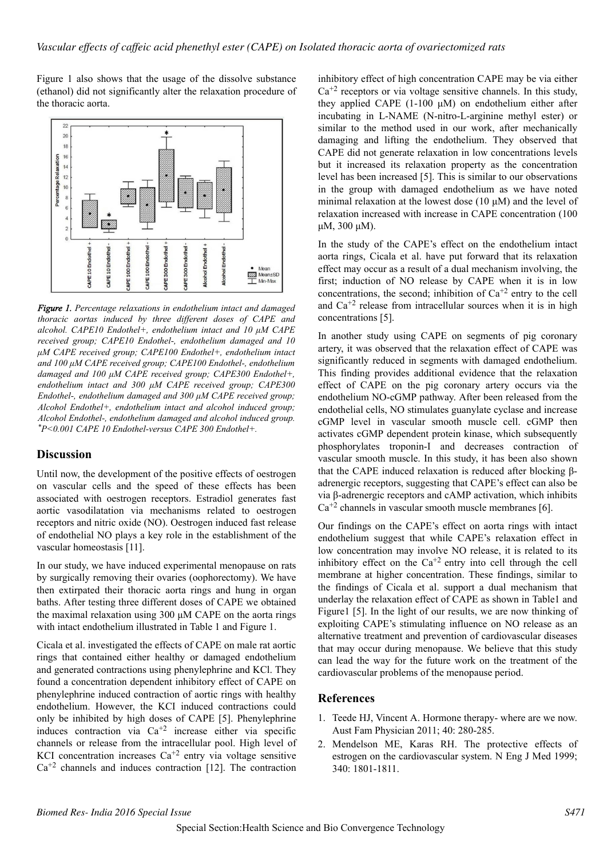Figure 1 also shows that the usage of the dissolve substance (ethanol) did not significantly alter the relaxation procedure of the thoracic aorta.



*Figure 1. Percentage relaxations in endothelium intact and damaged thoracic aortas induced by three different doses of CAPE and alcohol. CAPE10 Endothel+, endothelium intact and 10 μM CAPE received group; CAPE10 Endothel-, endothelium damaged and 10 μM CAPE received group; CAPE100 Endothel+, endothelium intact and 100 μM CAPE received group; CAPE100 Endothel-, endothelium damaged and 100 μM CAPE received group; CAPE300 Endothel+, endothelium intact and 300 μM CAPE received group; CAPE300 Endothel-, endothelium damaged and 300 μM CAPE received group; Alcohol Endothel+, endothelium intact and alcohol induced group; Alcohol Endothel-, endothelium damaged and alcohol induced group. \*P<0.001 CAPE 10 Endothel-versus CAPE 300 Endothel+.*

# **Discussion**

Until now, the development of the positive effects of oestrogen on vascular cells and the speed of these effects has been associated with oestrogen receptors. Estradiol generates fast aortic vasodilatation via mechanisms related to oestrogen receptors and nitric oxide (NO). Oestrogen induced fast release of endothelial NO plays a key role in the establishment of the vascular homeostasis [11].

In our study, we have induced experimental menopause on rats by surgically removing their ovaries (oophorectomy). We have then extirpated their thoracic aorta rings and hung in organ baths. After testing three different doses of CAPE we obtained the maximal relaxation using 300 μM CAPE on the aorta rings with intact endothelium illustrated in Table 1 and Figure 1.

Cicala et al. investigated the effects of CAPE on male rat aortic rings that contained either healthy or damaged endothelium and generated contractions using phenylephrine and KCl. They found a concentration dependent inhibitory effect of CAPE on phenylephrine induced contraction of aortic rings with healthy endothelium. However, the KCI induced contractions could only be inhibited by high doses of CAPE [5]. Phenylephrine induces contraction via  $Ca^{+2}$  increase either via specific channels or release from the intracellular pool. High level of KCI concentration increases  $Ca^{+2}$  entry via voltage sensitive  $Ca^{+2}$  channels and induces contraction [12]. The contraction

inhibitory effect of high concentration CAPE may be via either  $Ca^{+2}$  receptors or via voltage sensitive channels. In this study, they applied CAPE (1-100 μM) on endothelium either after incubating in L-NAME (N-nitro-L-arginine methyl ester) or similar to the method used in our work, after mechanically damaging and lifting the endothelium. They observed that CAPE did not generate relaxation in low concentrations levels but it increased its relaxation property as the concentration level has been increased [5]. This is similar to our observations in the group with damaged endothelium as we have noted minimal relaxation at the lowest dose (10 μM) and the level of relaxation increased with increase in CAPE concentration (100 μM, 300 μM).

In the study of the CAPE's effect on the endothelium intact aorta rings, Cicala et al. have put forward that its relaxation effect may occur as a result of a dual mechanism involving, the first; induction of NO release by CAPE when it is in low concentrations, the second; inhibition of  $Ca^{+2}$  entry to the cell and  $Ca^{+2}$  release from intracellular sources when it is in high concentrations [5].

In another study using CAPE on segments of pig coronary artery, it was observed that the relaxation effect of CAPE was significantly reduced in segments with damaged endothelium. This finding provides additional evidence that the relaxation effect of CAPE on the pig coronary artery occurs via the endothelium NO-cGMP pathway. After been released from the endothelial cells, NO stimulates guanylate cyclase and increase cGMP level in vascular smooth muscle cell. cGMP then activates cGMP dependent protein kinase, which subsequently phosphorylates troponin-I and decreases contraction of vascular smooth muscle. In this study, it has been also shown that the CAPE induced relaxation is reduced after blocking βadrenergic receptors, suggesting that CAPE's effect can also be via β-adrenergic receptors and cAMP activation, which inhibits  $Ca^{+2}$  channels in vascular smooth muscle membranes [6].

Our findings on the CAPE's effect on aorta rings with intact endothelium suggest that while CAPE's relaxation effect in low concentration may involve NO release, it is related to its inhibitory effect on the  $Ca^{+2}$  entry into cell through the cell membrane at higher concentration. These findings, similar to the findings of Cicala et al. support a dual mechanism that underlay the relaxation effect of CAPE as shown in Table1 and Figure1 [5]. In the light of our results, we are now thinking of exploiting CAPE's stimulating influence on NO release as an alternative treatment and prevention of cardiovascular diseases that may occur during menopause. We believe that this study can lead the way for the future work on the treatment of the cardiovascular problems of the menopause period.

### **References**

- 1. Teede HJ, Vincent A. Hormone therapy- where are we now. Aust Fam Physician 2011; 40: 280-285.
- 2. Mendelson ME, Karas RH. The protective effects of estrogen on the cardiovascular system. N Eng J Med 1999; 340: 1801-1811.